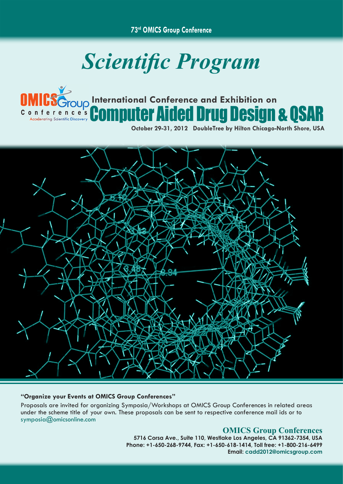**73rd OMICS Group Conference**

# *Scientific Program*



## **International Conference and Exhibition on** Computer Aided Drug Design & QSAR

**October 29-31, 2012 DoubleTree by Hilton Chicago-North Shore, USA**



### **"Organize your Events at OMICS Group Conferences"**

Proposals are invited for organizing Symposia/Workshops at OMICS Group Conferences in related areas under the scheme title of your own. These proposals can be sent to respective conference mail ids or to symposia@omicsonline.com

## **OMICS Group Conferences**

**5716 Corsa Ave., Suite 110, Westlake Los Angeles, CA 91362-7354, USA Phone: +1-650-268-9744, Fax: +1-650-618-1414, Toll free: +1-800-216-6499 Email: cadd2012@omicsgroup.com**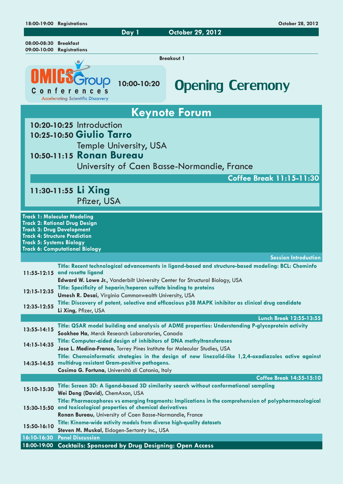|                                                                                                                                                                                                                             | 18:00-19:00 Registrations                                                                                                    |             | October 28, 2012                                                                                                                                                                                                                                           |  |
|-----------------------------------------------------------------------------------------------------------------------------------------------------------------------------------------------------------------------------|------------------------------------------------------------------------------------------------------------------------------|-------------|------------------------------------------------------------------------------------------------------------------------------------------------------------------------------------------------------------------------------------------------------------|--|
|                                                                                                                                                                                                                             |                                                                                                                              | Day 1       | October 29, 2012                                                                                                                                                                                                                                           |  |
| 08:00-08:30<br><b>Breakfast</b><br>09:00-10:00 Registrations                                                                                                                                                                |                                                                                                                              |             |                                                                                                                                                                                                                                                            |  |
| <b>Breakout 1</b>                                                                                                                                                                                                           |                                                                                                                              |             |                                                                                                                                                                                                                                                            |  |
|                                                                                                                                                                                                                             | Conferences<br><b>Accelerating Scientific Discovery</b>                                                                      | 10:00-10:20 | <b>Opening Ceremony</b>                                                                                                                                                                                                                                    |  |
| <b>Keynote Forum</b>                                                                                                                                                                                                        |                                                                                                                              |             |                                                                                                                                                                                                                                                            |  |
| 10:20-10:25 Introduction<br>10:25-10:50 Giulio Tarro<br><b>Temple University, USA</b><br>10:50-11:15 Ronan Bureau<br>University of Caen Basse-Normandie, France                                                             |                                                                                                                              |             |                                                                                                                                                                                                                                                            |  |
|                                                                                                                                                                                                                             |                                                                                                                              |             | <b>Coffee Break 11:15-11:30</b>                                                                                                                                                                                                                            |  |
| 11:30-11:55 Li Xing<br>Pfizer, USA                                                                                                                                                                                          |                                                                                                                              |             |                                                                                                                                                                                                                                                            |  |
| <b>Track 2: Rational Drug Design</b><br><b>Track 3: Drug Development</b><br><b>Track 4: Structure Prediction</b><br><b>Track 5: Systems Biology</b><br><b>Track 6: Computational Biology</b><br><b>Session Introduction</b> |                                                                                                                              |             |                                                                                                                                                                                                                                                            |  |
|                                                                                                                                                                                                                             |                                                                                                                              |             | Title: Recent technological advancements in ligand-based and structure-based modeling: BCL: Cheminfo                                                                                                                                                       |  |
|                                                                                                                                                                                                                             | 11:55-12:15 and rosetta ligand                                                                                               |             | Edward W. Lowe Jr., Vanderbilt University Center for Structural Biology, USA                                                                                                                                                                               |  |
| 12:15-12:35                                                                                                                                                                                                                 | Title: Specificity of heparin/heparan sulfate binding to proteins                                                            |             |                                                                                                                                                                                                                                                            |  |
| 12:35-12:55                                                                                                                                                                                                                 | Umesh R. Desai, Virginia Commonwealth University, USA<br>Li Xing, Pfizer, USA                                                |             | Title: Discovery of potent, selective and efficacious p38 MAPK inhibitor as clinical drug candidate                                                                                                                                                        |  |
|                                                                                                                                                                                                                             |                                                                                                                              |             | Lunch Break 12:55-13:55                                                                                                                                                                                                                                    |  |
| 13:55-14:15                                                                                                                                                                                                                 | Sookhee Ha, Merck Research Laboratories, Canada                                                                              |             | Title: QSAR model building and analysis of ADME properties: Understanding P-glycoprotein activity                                                                                                                                                          |  |
| 14:15-14:35                                                                                                                                                                                                                 |                                                                                                                              |             | Title: Computer-aided design of inhibitors of DNA methyltransferases<br>Jose L. Medina-Franco, Torrey Pines Institute for Molecular Studies, USA<br>Title: Chemoinformatic strategies in the design of new linezolid-like 1,2,4-oxadiazoles active against |  |
|                                                                                                                                                                                                                             | 14:35-14:55 multidrug resistant Gram-positive pathogens.<br>Cosimo G. Fortuna, Università di Catania, Italy                  |             |                                                                                                                                                                                                                                                            |  |
|                                                                                                                                                                                                                             |                                                                                                                              |             | Coffee Break 14:55-15:10                                                                                                                                                                                                                                   |  |
| 15:10-15:30                                                                                                                                                                                                                 | Wei Deng (David), ChemAxon, USA                                                                                              |             | Title: Screen 3D: A ligand-based 3D similarity search without conformational sampling<br>Title: Pharmacophores vs emerging fragments: Implications in the comprehension of polypharmacological                                                             |  |
|                                                                                                                                                                                                                             | 15:30-15:50 and toxicological properties of chemical derivatives<br>Ronan Bureau, University of Caen Basse-Normandie, France |             |                                                                                                                                                                                                                                                            |  |
| 15:50-16:10                                                                                                                                                                                                                 | Title: Kinome-wide activity models from diverse high-quality datasets<br>Steven M. Muskal, Eidogen-Sertanty Inc., USA        |             |                                                                                                                                                                                                                                                            |  |
| 16:10-16:30                                                                                                                                                                                                                 | <b>Panel Discussion</b>                                                                                                      |             |                                                                                                                                                                                                                                                            |  |
| 18:00-19:00                                                                                                                                                                                                                 | <b>Cocktails: Sponsored by Drug Designing: Open Access</b>                                                                   |             |                                                                                                                                                                                                                                                            |  |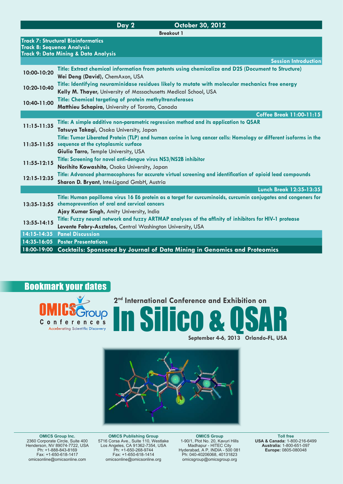|                                   | Day 2<br>October 30, 2012                                                                                                                                                                                               |  |  |  |
|-----------------------------------|-------------------------------------------------------------------------------------------------------------------------------------------------------------------------------------------------------------------------|--|--|--|
| <b>Breakout 1</b>                 |                                                                                                                                                                                                                         |  |  |  |
| <b>Track 8: Sequence Analysis</b> | <b>Track 7: Structural Bioinformatics</b><br><b>Track 9: Data Mining &amp; Data Analysis</b>                                                                                                                            |  |  |  |
|                                   | <b>Session Introduction</b>                                                                                                                                                                                             |  |  |  |
| 10:00-10:20                       | Title: Extract chemical information from patents using chemicalize and D2S (Document to Structure)<br>Wei Deng (David), ChemAxon, USA                                                                                   |  |  |  |
| 10:20-10:40                       | Title: Identifying neuraminidase residues likely to mutate with molecular mechanics free energy<br>Kelly M. Thayer, University of Massachusetts Medical School, USA                                                     |  |  |  |
| 10:40-11:00                       | Title: Chemical targeting of protein methyltransferases<br>Matthieu Schapira, University of Toronto, Canada                                                                                                             |  |  |  |
|                                   | <b>Coffee Break 11:00-11:15</b>                                                                                                                                                                                         |  |  |  |
| $11:15 - 11:35$                   | Title: A simple additive non-parametric regression method and its application to QSAR<br>Tatsuya Takagi, Osaka University, Japan                                                                                        |  |  |  |
|                                   | Title: Tumor Liberated Protein (TLP) and human corine in lung cancer cells: Homology or different isoforms in the<br>11:35-11:55 sequence at the cytoplasmic surface<br>Giulio Tarro, Temple University, USA            |  |  |  |
| $11:55-12:15$                     | Title: Screening for novel anti-dengue virus NS3/NS2B inhibitor<br>Norihito Kawashita, Osaka University, Japan                                                                                                          |  |  |  |
| 12:15-12:35                       | Title: Advanced pharmacophores for accurate virtual screening and identification of opioid lead compounds<br>Sharon D. Bryant, Inte:Ligand GmbH, Austria                                                                |  |  |  |
|                                   | Lunch Break 12:35-13:35                                                                                                                                                                                                 |  |  |  |
|                                   | Title: Human papilloma virus 16 E6 protein as a target for curcuminoids, curcumin conjugates and congeners for<br>13:35-13:55 chemoprevention of oral and cervical cancers<br>Ajay Kumar Singh, Amity University, India |  |  |  |
| $13:55 - 14:15$                   | Title: Fuzzy neural network and fuzzy ARTMAP analyses of the affinity of inhibitors for HIV-1 protease<br>Levente Fabry-Asztalos, Central Washington University, USA                                                    |  |  |  |
|                                   | 14:15-14:35 Panel Discussion                                                                                                                                                                                            |  |  |  |
|                                   | 14:35-16:05 Poster Presentations                                                                                                                                                                                        |  |  |  |
| 18:00-19:00                       | <b>Cocktails: Sponsored by Journal of Data Mining in Genomics and Proteomics</b>                                                                                                                                        |  |  |  |

## Bookmark your dates



**2nd International Conference and Exhibition on** In Silico & QSAR

**September 4-6, 2013 Orlando-FL, USA**



**OMICS Group Inc.** 2360 Corporate Circle, Suite 400 Henderson, NV 89074-7722, USA Ph: +1-888-843-8169 Fax: +1-650-618-1417 omicsonline@omicsonline.com

**OMICS Publishing Group**<br>
5716 Corsa Ave., Suite 110, Westlake<br>
Los Angeles, CA 91362-7354, USA<br>
Ph: +1-650-268-9744<br>
Fax: +1-650-618-1414 omicsonline@omicsonline.org

**OMICS Group<br>
1-90/1, Plot No. 20, Kavuri Hills<br>
Madhapur - HITEC City<br>
Hyderabad, A P, INDIA - 500 081<br>
Ph: 040-40206068, 40131823** omicsgroup@omicsgroup.org

**Toll free USA & Canada:** 1-800-216-6499 **Australia:** 1-800-651-097 **Europe:** 0805-080048